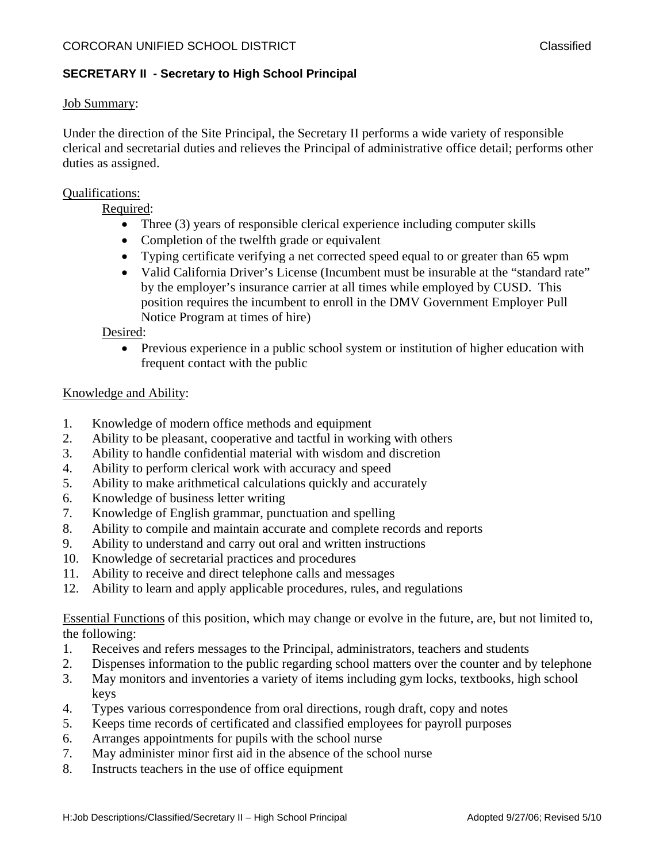## **SECRETARY II - Secretary to High School Principal**

### Job Summary:

Under the direction of the Site Principal, the Secretary II performs a wide variety of responsible clerical and secretarial duties and relieves the Principal of administrative office detail; performs other duties as assigned.

### Qualifications:

Required:

- Three (3) years of responsible clerical experience including computer skills
- Completion of the twelfth grade or equivalent
- Typing certificate verifying a net corrected speed equal to or greater than 65 wpm
- Valid California Driver's License (Incumbent must be insurable at the "standard rate" by the employer's insurance carrier at all times while employed by CUSD. This position requires the incumbent to enroll in the DMV Government Employer Pull Notice Program at times of hire)

Desired:

• Previous experience in a public school system or institution of higher education with frequent contact with the public

### Knowledge and Ability:

- 1. Knowledge of modern office methods and equipment
- 2. Ability to be pleasant, cooperative and tactful in working with others
- 3. Ability to handle confidential material with wisdom and discretion
- 4. Ability to perform clerical work with accuracy and speed
- 5. Ability to make arithmetical calculations quickly and accurately
- 6. Knowledge of business letter writing
- 7. Knowledge of English grammar, punctuation and spelling
- 8. Ability to compile and maintain accurate and complete records and reports
- 9. Ability to understand and carry out oral and written instructions
- 10. Knowledge of secretarial practices and procedures
- 11. Ability to receive and direct telephone calls and messages
- 12. Ability to learn and apply applicable procedures, rules, and regulations

Essential Functions of this position, which may change or evolve in the future, are, but not limited to, the following:

- 1. Receives and refers messages to the Principal, administrators, teachers and students
- 2. Dispenses information to the public regarding school matters over the counter and by telephone
- 3. May monitors and inventories a variety of items including gym locks, textbooks, high school keys
- 4. Types various correspondence from oral directions, rough draft, copy and notes
- 5. Keeps time records of certificated and classified employees for payroll purposes
- 6. Arranges appointments for pupils with the school nurse
- 7. May administer minor first aid in the absence of the school nurse
- 8. Instructs teachers in the use of office equipment